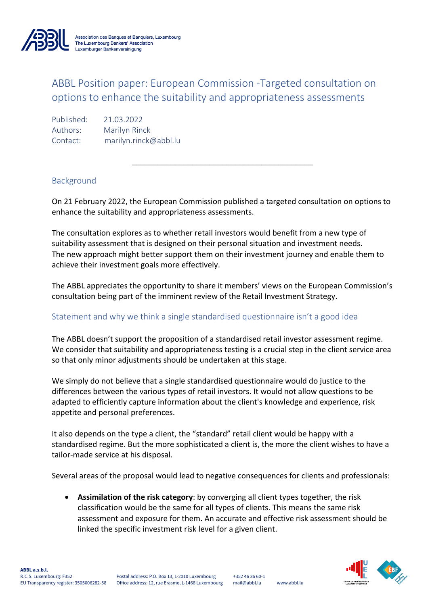

Association des Banques et Banquiers, Luxembourg The Luxembourg Bankers' Association Luxemburger Bankenvereinigung

## ABBL Position paper: European Commission -Targeted consultation on options to enhance the suitability and appropriateness assessments

Published: 21.03.2022 Authors: Marilyn Rinck Contact: marilyn.rinck@abbl.lu

## Background

On 21 February 2022, the European Commission published a targeted consultation on options to enhance the suitability and appropriateness assessments.

 $\mathcal{L}_\text{max}$  and  $\mathcal{L}_\text{max}$  and  $\mathcal{L}_\text{max}$  and  $\mathcal{L}_\text{max}$ 

The consultation explores as to whether retail investors would benefit from a new type of suitability assessment that is designed on their personal situation and investment needs. The new approach might better support them on their investment journey and enable them to achieve their investment goals more effectively.

The ABBL appreciates the opportunity to share it members' views on the European Commission's consultation being part of the imminent review of the Retail Investment Strategy.

## Statement and why we think a single standardised questionnaire isn't a good idea

The ABBL doesn't support the proposition of a standardised retail investor assessment regime. We consider that suitability and appropriateness testing is a crucial step in the client service area so that only minor adjustments should be undertaken at this stage.

We simply do not believe that a single standardised questionnaire would do justice to the differences between the various types of retail investors. It would not allow questions to be adapted to efficiently capture information about the client's knowledge and experience, risk appetite and personal preferences.

It also depends on the type a client, the "standard" retail client would be happy with a standardised regime. But the more sophisticated a client is, the more the client wishes to have a tailor-made service at his disposal.

Several areas of the proposal would lead to negative consequences for clients and professionals:

• **Assimilation of the risk category**: by converging all client types together, the risk classification would be the same for all types of clients. This means the same risk assessment and exposure for them. An accurate and effective risk assessment should be linked the specific investment risk level for a given client.